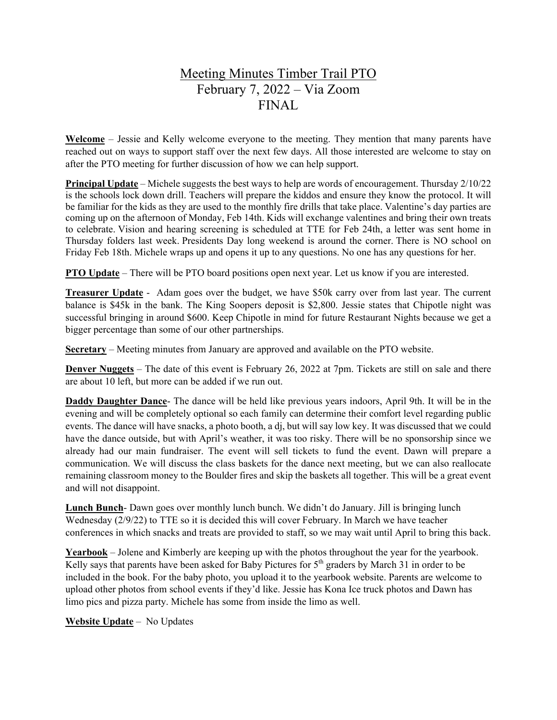## Meeting Minutes Timber Trail PTO February 7, 2022 – Via Zoom FINAL

**Welcome** – Jessie and Kelly welcome everyone to the meeting. They mention that many parents have reached out on ways to support staff over the next few days. All those interested are welcome to stay on after the PTO meeting for further discussion of how we can help support.

**Principal Update** – Michele suggests the best ways to help are words of encouragement. Thursday 2/10/22 is the schools lock down drill. Teachers will prepare the kiddos and ensure they know the protocol. It will be familiar for the kids as they are used to the monthly fire drills that take place. Valentine's day parties are coming up on the afternoon of Monday, Feb 14th. Kids will exchange valentines and bring their own treats to celebrate. Vision and hearing screening is scheduled at TTE for Feb 24th, a letter was sent home in Thursday folders last week. Presidents Day long weekend is around the corner. There is NO school on Friday Feb 18th. Michele wraps up and opens it up to any questions. No one has any questions for her.

**PTO Update** – There will be PTO board positions open next year. Let us know if you are interested.

**Treasurer Update** - Adam goes over the budget, we have \$50k carry over from last year. The current balance is \$45k in the bank. The King Soopers deposit is \$2,800. Jessie states that Chipotle night was successful bringing in around \$600. Keep Chipotle in mind for future Restaurant Nights because we get a bigger percentage than some of our other partnerships.

**Secretary** – Meeting minutes from January are approved and available on the PTO website.

**Denver Nuggets** – The date of this event is February 26, 2022 at 7pm. Tickets are still on sale and there are about 10 left, but more can be added if we run out.

**Daddy Daughter Dance**- The dance will be held like previous years indoors, April 9th. It will be in the evening and will be completely optional so each family can determine their comfort level regarding public events. The dance will have snacks, a photo booth, a dj, but will say low key. It was discussed that we could have the dance outside, but with April's weather, it was too risky. There will be no sponsorship since we already had our main fundraiser. The event will sell tickets to fund the event. Dawn will prepare a communication. We will discuss the class baskets for the dance next meeting, but we can also reallocate remaining classroom money to the Boulder fires and skip the baskets all together. This will be a great event and will not disappoint.

**Lunch Bunch**- Dawn goes over monthly lunch bunch. We didn't do January. Jill is bringing lunch Wednesday (2/9/22) to TTE so it is decided this will cover February. In March we have teacher conferences in which snacks and treats are provided to staff, so we may wait until April to bring this back.

**Yearbook** – Jolene and Kimberly are keeping up with the photos throughout the year for the yearbook. Kelly says that parents have been asked for Baby Pictures for  $5<sup>th</sup>$  graders by March 31 in order to be included in the book. For the baby photo, you upload it to the yearbook website. Parents are welcome to upload other photos from school events if they'd like. Jessie has Kona Ice truck photos and Dawn has limo pics and pizza party. Michele has some from inside the limo as well.

**Website Update** – No Updates